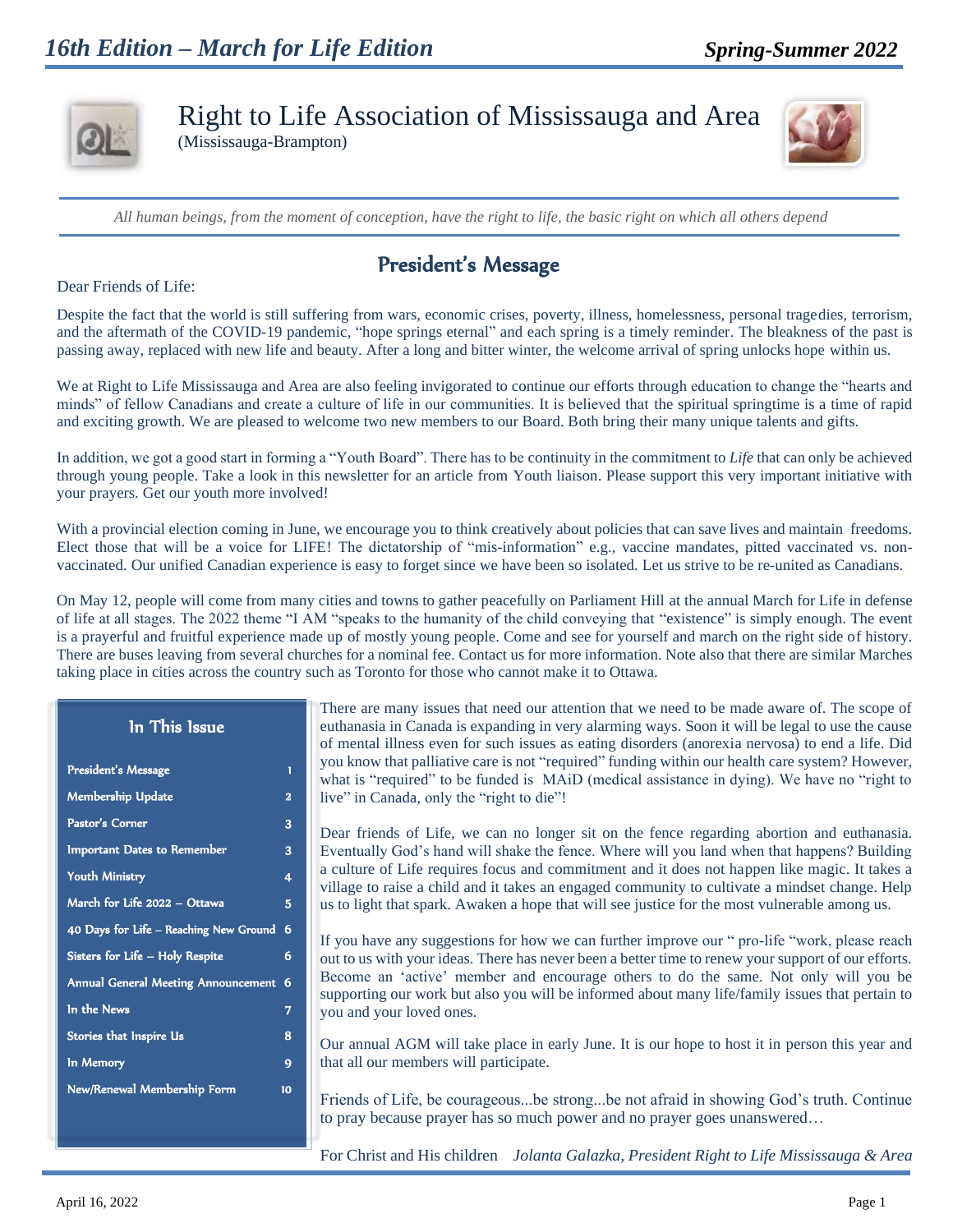

Right to Life Association of Mississauga and Area

(Mississauga-Brampton)



*All human beings, from the moment of conception, have the right to life, the basic right on which all others depend*

## President's Message

Dear Friends of Life:

Despite the fact that the world is still suffering from wars, economic crises, poverty, illness, homelessness, personal tragedies, terrorism, and the aftermath of the COVID-19 pandemic, "hope springs eternal" and each spring is a timely reminder. The bleakness of the past is passing away, replaced with new life and beauty. After a long and bitter winter, the welcome arrival of spring unlocks hope within us.

We at Right to Life Mississauga and Area are also feeling invigorated to continue our efforts through education to change the "hearts and minds" of fellow Canadians and create a culture of life in our communities. It is believed that the spiritual springtime is a time of rapid and exciting growth. We are pleased to welcome two new members to our Board. Both bring their many unique talents and gifts.

In addition, we got a good start in forming a "Youth Board". There has to be continuity in the commitment to *Life* that can only be achieved through young people. Take a look in this newsletter for an article from Youth liaison. Please support this very important initiative with your prayers. Get our youth more involved!

With a provincial election coming in June, we encourage you to think creatively about policies that can save lives and maintain freedoms. Elect those that will be a voice for LIFE! The dictatorship of "mis-information" e.g., vaccine mandates, pitted vaccinated vs. nonvaccinated. Our unified Canadian experience is easy to forget since we have been so isolated. Let us strive to be re-united as Canadians.

On May 12, people will come from many cities and towns to gather peacefully on Parliament Hill at the annual March for Life in defense of life at all stages. The 2022 theme "I AM "speaks to the humanity of the child conveying that "existence" is simply enough. The event is a prayerful and fruitful experience made up of mostly young people. Come and see for yourself and march on the right side of history. There are buses leaving from several churches for a nominal fee. Contact us for more information. Note also that there are similar Marches taking place in cities across the country such as Toronto for those who cannot make it to Ottawa.

There are many issues that need our attention that we need to be made aware of. The scope of euthanasia in Canada is expanding in very alarming ways. Soon it will be legal to use the cause of mental illness even for such issues as eating disorders (anorexia nervosa) to end a life. Did you know that palliative care is not "required" funding within our health care system? However, what is "required" to be funded is MAiD (medical assistance in dying). We have no "right to live" in Canada, only the "right to die"!

Dear friends of Life, we can no longer sit on the fence regarding abortion and euthanasia. Eventually God's hand will shake the fence. Where will you land when that happens? Building a culture of Life requires focus and commitment and it does not happen like magic. It takes a village to raise a child and it takes an engaged community to cultivate a mindset change. Help us to light that spark. Awaken a hope that will see justice for the most vulnerable among us.

If you have any suggestions for how we can further improve our " pro-life "work, please reach out to us with your ideas. There has never been a better time to renew your support of our efforts. Become an 'active' member and encourage others to do the same. Not only will you be supporting our work but also you will be informed about many life/family issues that pertain to you and your loved ones.

Our annual AGM will take place in early June. It is our hope to host it in person this year and that all our members will participate.

Friends of Life, be courageous...be strong...be not afraid in showing God's truth. Continue to pray because prayer has so much power and no prayer goes unanswered…

For Christ and His children *Jolanta Galazka, President Right to Life Mississauga & Area*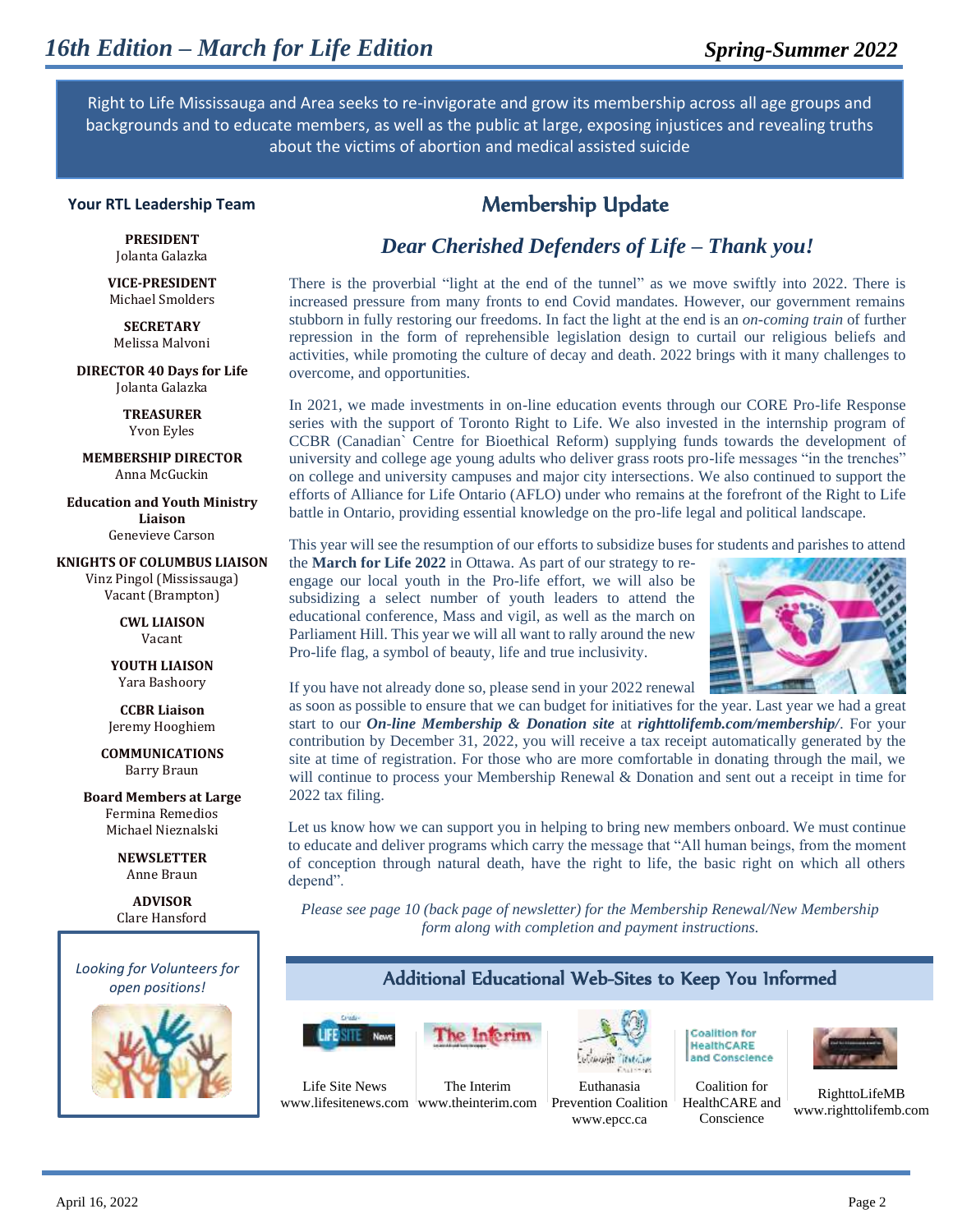Right to Life Mississauga and Area seeks to re-invigorate and grow its membership across all age groups and backgrounds and to educate members, as well as the public at large, exposing injustices and revealing truths about the victims of abortion and medical assisted suicide

#### **Your RTL Leadership Team**

**PRESIDENT** Jolanta Galazka

**VICE-PRESIDENT** Michael Smolders

**SECRETARY** Melissa Malvoni

**DIRECTOR 40 Days for Life** Jolanta Galazka

> **TREASURER** Yvon Eyles

**MEMBERSHIP DIRECTOR** Anna McGuckin

**Education and Youth Ministry Liaison** Genevieve Carson

**KNIGHTS OF COLUMBUS LIAISON** Vinz Pingol (Mississauga) Vacant (Brampton)

> **CWL LIAISON** Vacant

**YOUTH LIAISON** Yara Bashoory

**CCBR Liaison** Jeremy Hooghiem

**COMMUNICATIONS** Barry Braun

**Board Members at Large** Fermina Remedios Michael Nieznalski

> **NEWSLETTER** Anne Braun

**ADVISOR** Clare Hansford



### Membership Update

### *Dear Cherished Defenders of Life – Thank you!*

There is the proverbial "light at the end of the tunnel" as we move swiftly into 2022. There is increased pressure from many fronts to end Covid mandates. However, our government remains stubborn in fully restoring our freedoms. In fact the light at the end is an *on-coming train* of further repression in the form of reprehensible legislation design to curtail our religious beliefs and activities, while promoting the culture of decay and death. 2022 brings with it many challenges to overcome, and opportunities.

In 2021, we made investments in on-line education events through our CORE Pro-life Response series with the support of Toronto Right to Life. We also invested in the internship program of CCBR (Canadian` Centre for Bioethical Reform) supplying funds towards the development of university and college age young adults who deliver grass roots pro-life messages "in the trenches" on college and university campuses and major city intersections. We also continued to support the efforts of Alliance for Life Ontario (AFLO) under who remains at the forefront of the Right to Life battle in Ontario, providing essential knowledge on the pro-life legal and political landscape.

This year will see the resumption of our efforts to subsidize buses for students and parishes to attend

the **March for Life 2022** in Ottawa. As part of our strategy to reengage our local youth in the Pro-life effort, we will also be subsidizing a select number of youth leaders to attend the educational conference, Mass and vigil, as well as the march on Parliament Hill. This year we will all want to rally around the new Pro-life flag, a symbol of beauty, life and true inclusivity.



If you have not already done so, please send in your 2022 renewal

as soon as possible to ensure that we can budget for initiatives for the year. Last year we had a great start to our *On-line Membership & Donation site* at *righttolifemb.com/membership/*. For your contribution by December 31, 2022, you will receive a tax receipt automatically generated by the site at time of registration. For those who are more comfortable in donating through the mail, we will continue to process your Membership Renewal & Donation and sent out a receipt in time for 2022 tax filing.

Let us know how we can support you in helping to bring new members onboard. We must continue to educate and deliver programs which carry the message that "All human beings, from the moment of conception through natural death, have the right to life, the basic right on which all others depend".

*Please see page 10 (back page of newsletter) for the Membership Renewal/New Membership form along with completion and payment instructions.*

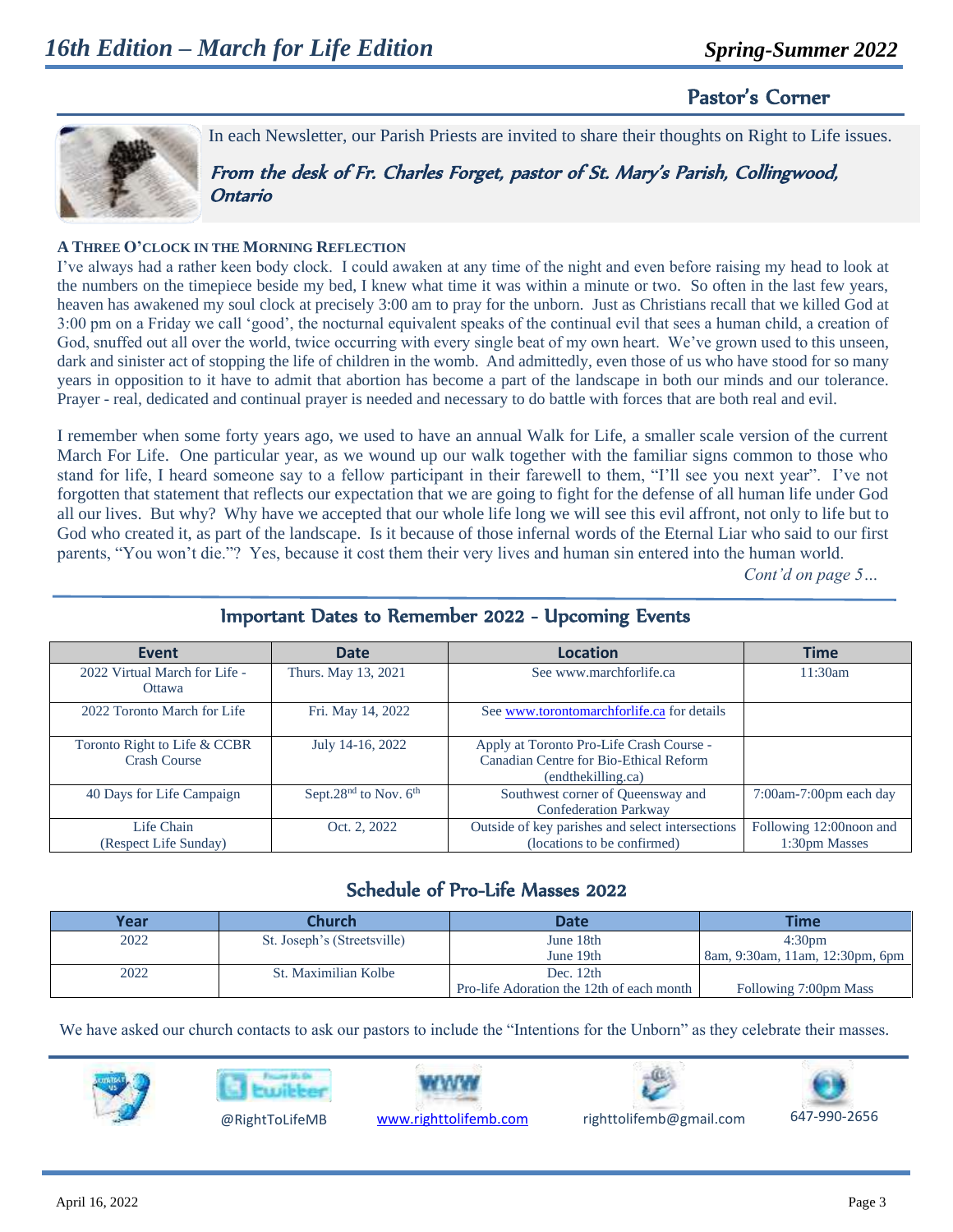### Pastor's Corner



In each Newsletter, our Parish Priests are invited to share their thoughts on Right to Life issues.

From the desk of Fr. Charles Forget, pastor of St. Mary's Parish, Collingwood, Ontario

#### **A THREE O'CLOCK IN THE MORNING REFLECTION**

I've always had a rather keen body clock. I could awaken at any time of the night and even before raising my head to look at the numbers on the timepiece beside my bed, I knew what time it was within a minute or two. So often in the last few years, heaven has awakened my soul clock at precisely 3:00 am to pray for the unborn. Just as Christians recall that we killed God at 3:00 pm on a Friday we call 'good', the nocturnal equivalent speaks of the continual evil that sees a human child, a creation of God, snuffed out all over the world, twice occurring with every single beat of my own heart. We've grown used to this unseen, dark and sinister act of stopping the life of children in the womb. And admittedly, even those of us who have stood for so many years in opposition to it have to admit that abortion has become a part of the landscape in both our minds and our tolerance. Prayer - real, dedicated and continual prayer is needed and necessary to do battle with forces that are both real and evil.

I remember when some forty years ago, we used to have an annual Walk for Life, a smaller scale version of the current March For Life. One particular year, as we wound up our walk together with the familiar signs common to those who stand for life, I heard someone say to a fellow participant in their farewell to them, "I'll see you next year". I've not forgotten that statement that reflects our expectation that we are going to fight for the defense of all human life under God all our lives. But why? Why have we accepted that our whole life long we will see this evil affront, not only to life but to God who created it, as part of the landscape. Is it because of those infernal words of the Eternal Liar who said to our first parents, "You won't die."? Yes, because it cost them their very lives and human sin entered into the human world.

*Cont'd on page 5…*

| <b>Event</b>                                        | <b>Date</b>                                   | <b>Location</b>                                                                                          | <b>Time</b>                              |
|-----------------------------------------------------|-----------------------------------------------|----------------------------------------------------------------------------------------------------------|------------------------------------------|
| 2022 Virtual March for Life -<br>Ottawa             | Thurs. May 13, 2021                           | See www.marchforlife.ca                                                                                  | 11:30am                                  |
| 2022 Toronto March for Life                         | Fri. May 14, 2022                             | See www.torontomarchforlife.ca for details                                                               |                                          |
| Toronto Right to Life & CCBR<br><b>Crash Course</b> | July 14-16, 2022                              | Apply at Toronto Pro-Life Crash Course -<br>Canadian Centre for Bio-Ethical Reform<br>(endthekilling.ca) |                                          |
| 40 Days for Life Campaign                           | Sept.28 <sup>nd</sup> to Nov. 6 <sup>th</sup> | Southwest corner of Queensway and<br><b>Confederation Parkway</b>                                        | $7:00$ am-7:00pm each day                |
| Life Chain<br>(Respect Life Sunday)                 | Oct. 2, 2022                                  | Outside of key parishes and select intersections<br>(locations to be confirmed)                          | Following 12:00noon and<br>1:30pm Masses |

#### Important Dates to Remember 2022 - Upcoming Events

#### Schedule of Pro-Life Masses 2022

| Year | <b>Church</b>               | <b>Date</b>                               | Time                            |
|------|-----------------------------|-------------------------------------------|---------------------------------|
| 2022 | St. Joseph's (Streetsville) | June 18th                                 | 4:30 <sub>pm</sub>              |
|      |                             | June 19th                                 | 8am, 9:30am, 11am, 12:30pm, 6pm |
| 2022 | St. Maximilian Kolbe        | Dec. $12th$                               |                                 |
|      |                             | Pro-life Adoration the 12th of each month | Following 7:00pm Mass           |

We have asked our church contacts to ask our pastors to include the "Intentions for the Unborn" as they celebrate their masses.









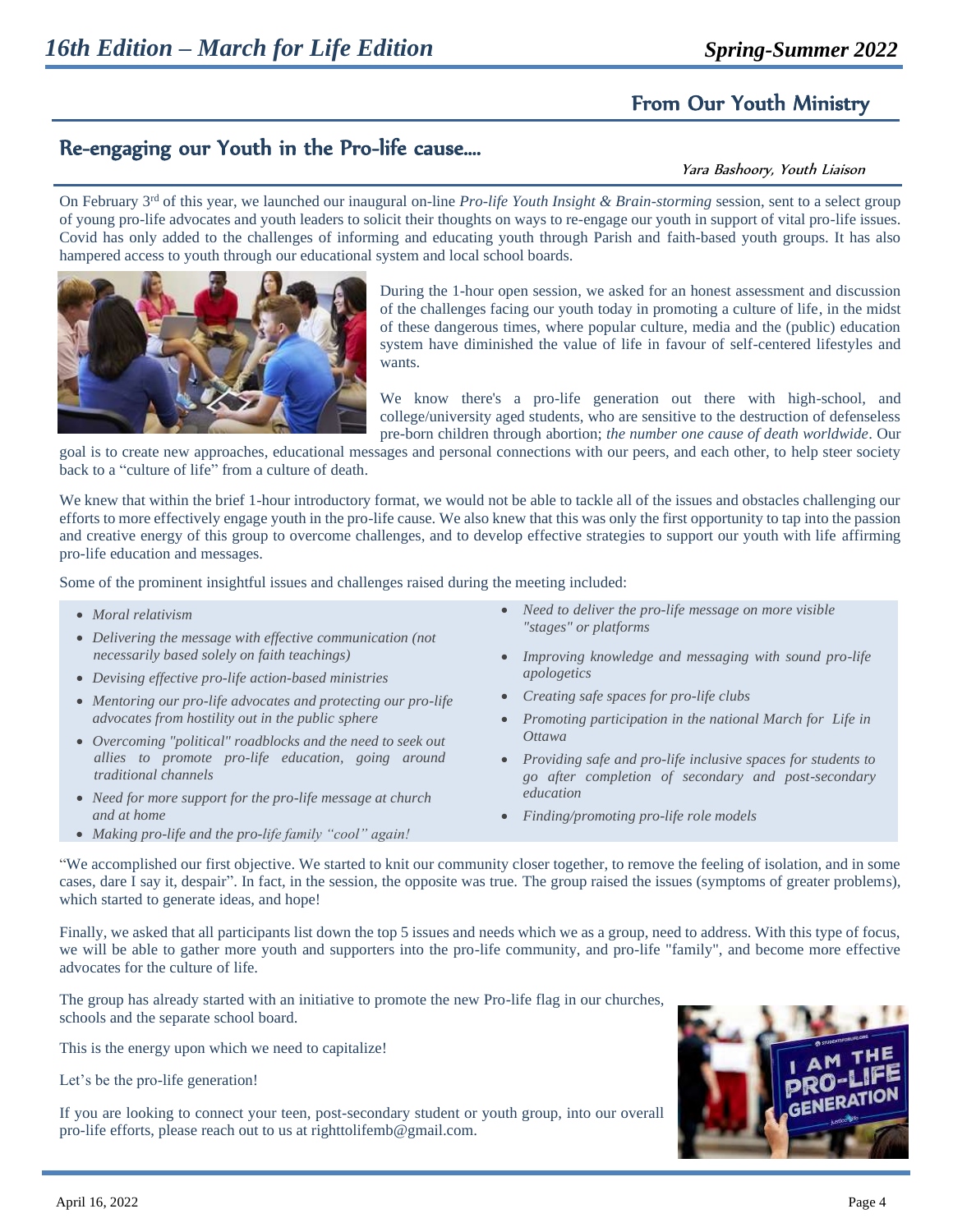## From Our Youth Ministry

## Re-engaging our Youth in the Pro-life cause….

#### Yara Bashoory, Youth Liaison

On February 3<sup>rd</sup> of this year, we launched our inaugural on-line *Pro-life Youth Insight & Brain-storming* session, sent to a select group of young pro-life advocates and youth leaders to solicit their thoughts on ways to re-engage our youth in support of vital pro-life issues. Covid has only added to the challenges of informing and educating youth through Parish and faith-based youth groups. It has also hampered access to youth through our educational system and local school boards.



During the 1-hour open session, we asked for an honest assessment and discussion of the challenges facing our youth today in promoting a culture of life, in the midst of these dangerous times, where popular culture, media and the (public) education system have diminished the value of life in favour of self-centered lifestyles and wants.

We know there's a pro-life generation out there with high-school, and college/university aged students, who are sensitive to the destruction of defenseless pre-born children through abortion; *the number one cause of death worldwide*. Our

goal is to create new approaches, educational messages and personal connections with our peers, and each other, to help steer society back to a "culture of life" from a culture of death.

We knew that within the brief 1-hour introductory format, we would not be able to tackle all of the issues and obstacles challenging our efforts to more effectively engage youth in the pro-life cause. We also knew that this was only the first opportunity to tap into the passion and creative energy of this group to overcome challenges, and to develop effective strategies to support our youth with life affirming pro-life education and messages.

Some of the prominent insightful issues and challenges raised during the meeting included:

- *Moral relativism*
- *Delivering the message with effective communication (not necessarily based solely on faith teachings)*
- *Devising effective pro-life action-based ministries*
- *Mentoring our pro-life advocates and protecting our pro-life Creating safe spaces for pro-life clubs advocates from hostility out in the public sphere*
- *Overcoming "political" roadblocks and the need to seek out allies to promote pro-life education, going around traditional channels*
- *Need for more support for the pro-life message at church*
- 
- *and at home Finding/promoting pro-life role models*
- *Need to deliver the pro-life message on more visible "stages" or platforms*
- *Improving knowledge and messaging with sound pro-life apologetics*
- 
- *Promoting participation in the national March for Life in Ottawa*
- *Providing safe and pro-life inclusive spaces for students to go after completion of secondary and post-secondary education*
- 
- *Making pro-life and the pro-life family "cool" again!*

"We accomplished our first objective. We started to knit our community closer together, to remove the feeling of isolation, and in some cases, dare I say it, despair". In fact, in the session, the opposite was true. The group raised the issues (symptoms of greater problems), which started to generate ideas, and hope!

Finally, we asked that all participants list down the top 5 issues and needs which we as a group, need to address. With this type of focus, we will be able to gather more youth and supporters into the pro-life community, and pro-life "family", and become more effective advocates for the culture of life.

The group has already started with an initiative to promote the new Pro-life flag in our churches, schools and the separate school board.

This is the energy upon which we need to capitalize!

Let's be the pro-life generation!

If you are looking to connect your teen, post-secondary student or youth group, into our overall pro-life efforts, please reach out to us at righttolifemb@gmail.com.

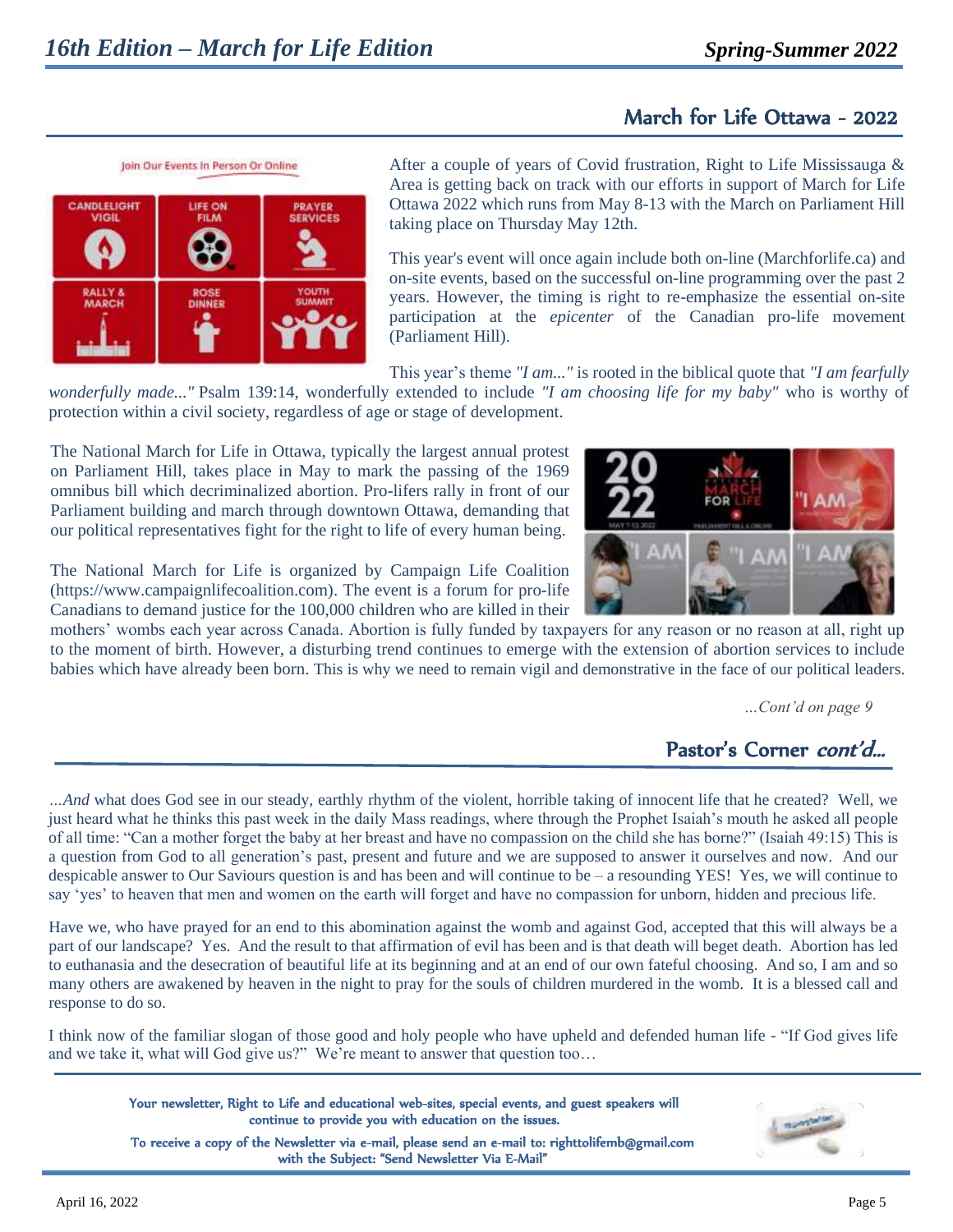## March for Life Ottawa - 2022

CANDLELIGHT LIFE ON **PRAYER VIGIL FILM ROS DINNER** 

Join Our Events In Person Or Online

After a couple of years of Covid frustration, Right to Life Mississauga & Area is getting back on track with our efforts in support of March for Life Ottawa 2022 which runs from May 8-13 with the March on Parliament Hill taking place on Thursday May 12th.

This year's event will once again include both on-line (Marchforlife.ca) and on-site events, based on the successful on-line programming over the past 2 years. However, the timing is right to re-emphasize the essential on-site participation at the *epicenter* of the Canadian pro-life movement (Parliament Hill).

This year's theme *"I am..."* is rooted in the biblical quote that *"I am fearfully* 

*wonderfully made..."* Psalm 139:14, wonderfully extended to include *"I am choosing life for my baby"* who is worthy of protection within a civil society, regardless of age or stage of development.

The National March for Life in Ottawa, typically the largest annual protest on Parliament Hill, takes place in May to mark the passing of the 1969 omnibus bill which decriminalized abortion. Pro-lifers rally in front of our Parliament building and march through downtown Ottawa, demanding that our political representatives fight for the right to life of every human being.

The National March for Life is organized by Campaign Life Coalition (https://www.campaignlifecoalition.com). The event is a forum for pro-life Canadians to demand justice for the 100,000 children who are killed in their

mothers' wombs each year across Canada. Abortion is fully funded by taxpayers for any reason or no reason at all, right up to the moment of birth. However, a disturbing trend continues to emerge with the extension of abortion services to include babies which have already been born. This is why we need to remain vigil and demonstrative in the face of our political leaders.

*…Cont'd on page 9*

# Pastor's Corner *cont'd...*

*…And* what does God see in our steady, earthly rhythm of the violent, horrible taking of innocent life that he created? Well, we just heard what he thinks this past week in the daily Mass readings, where through the Prophet Isaiah's mouth he asked all people of all time: "Can a mother forget the baby at her breast and have no compassion on the child she has borne?" (Isaiah 49:15) This is a question from God to all generation's past, present and future and we are supposed to answer it ourselves and now. And our despicable answer to Our Saviours question is and has been and will continue to be – a resounding YES! Yes, we will continue to say 'yes' to heaven that men and women on the earth will forget and have no compassion for unborn, hidden and precious life.

Have we, who have prayed for an end to this abomination against the womb and against God, accepted that this will always be a part of our landscape? Yes. And the result to that affirmation of evil has been and is that death will beget death. Abortion has led to euthanasia and the desecration of beautiful life at its beginning and at an end of our own fateful choosing. And so, I am and so many others are awakened by heaven in the night to pray for the souls of children murdered in the womb. It is a blessed call and response to do so.

I think now of the familiar slogan of those good and holy people who have upheld and defended human life - "If God gives life and we take it, what will God give us?" We're meant to answer that question too…

Your newsletter, Right to Life and educational web-sites, special events, and guest speakers will continue to provide you with education on the issues.

 To receive a copy of the Newsletter via e-mail, please send an e-mail to: [righttolifemb@gmail.com](mailto:righttolifemb@gmail.com)  with the Subject: "Send Newsletter Via E-Mail"



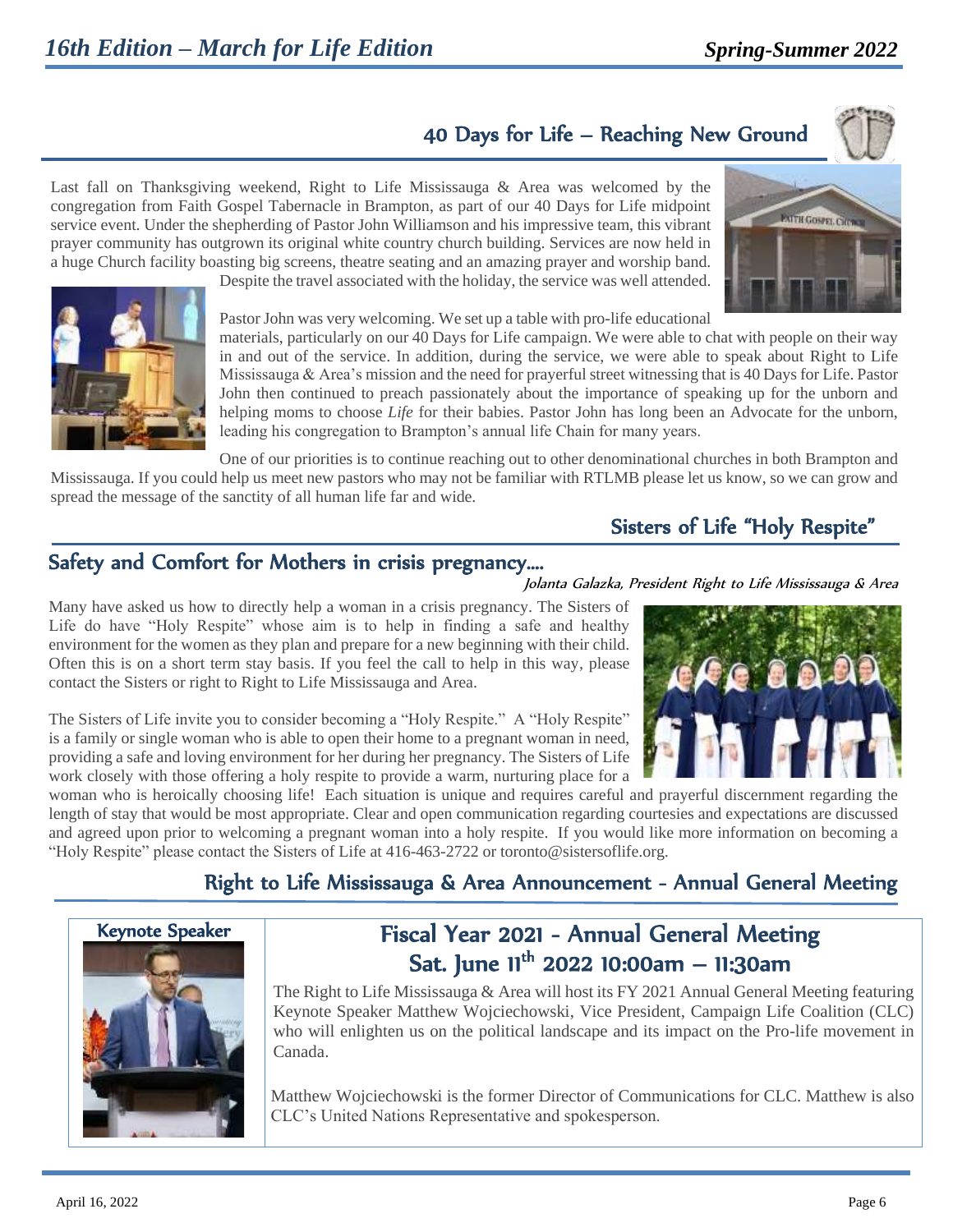# 40 Days for Life – Reaching New Ground

Last fall on Thanksgiving weekend, Right to Life Mississauga & Area was welcomed by the congregation from Faith Gospel Tabernacle in Brampton, as part of our 40 Days for Life midpoint service event. Under the shepherding of Pastor John Williamson and his impressive team, this vibrant prayer community has outgrown its original white country church building. Services are now held in a huge Church facility boasting big screens, theatre seating and an amazing prayer and worship band.

Despite the travel associated with the holiday, the service was well attended.





Pastor John was very welcoming. We set up a table with pro-life educational

materials, particularly on our 40 Days for Life campaign. We were able to chat with people on their way in and out of the service. In addition, during the service, we were able to speak about Right to Life Mississauga & Area's mission and the need for prayerful street witnessing that is 40 Days for Life. Pastor John then continued to preach passionately about the importance of speaking up for the unborn and helping moms to choose *Life* for their babies. Pastor John has long been an Advocate for the unborn, leading his congregation to Brampton's annual life Chain for many years.

One of our priorities is to continue reaching out to other denominational churches in both Brampton and Mississauga. If you could help us meet new pastors who may not be familiar with RTLMB please let us know, so we can grow and spread the message of the sanctity of all human life far and wide.

### Sisters of Life "Holy Respite"

Jolanta Galazka, President Right to Life Mississauga & Area

### Safety and Comfort for Mothers in crisis pregnancy….

Many have asked us how to directly help a woman in a crisis pregnancy. The Sisters of Life do have "Holy Respite" whose aim is to help in finding a safe and healthy environment for the women as they plan and prepare for a new beginning with their child. Often this is on a short term stay basis. If you feel the call to help in this way, please contact the Sisters or right to Right to Life Mississauga and Area.

The Sisters of Life invite you to consider becoming a "Holy Respite." A "Holy Respite" is a family or single woman who is able to open their home to a pregnant woman in need, providing a safe and loving environment for her during her pregnancy. The Sisters of Life work closely with those offering a holy respite to provide a warm, nurturing place for a

woman who is heroically choosing life! Each situation is unique and requires careful and prayerful discernment regarding the length of stay that would be most appropriate. Clear and open communication regarding courtesies and expectations are discussed and agreed upon prior to welcoming a pregnant woman into a holy respite. If you would like more information on becoming a "Holy Respite" please contact the Sisters of Life at 416-463-2722 o[r toronto@sistersoflife.org.](mailto:toronto@sistersoflife.org)

## Right to Life Mississauga & Area Announcement - Annual General Meeting



# Fiscal Year 2021 - Annual General Meeting Sat. June 11<sup>th</sup> 2022 10:00am — 11:30am

The Right to Life Mississauga & Area will host its FY 2021 Annual General Meeting featuring Keynote Speaker Matthew Wojciechowski, Vice President, Campaign Life Coalition (CLC) who will enlighten us on the political landscape and its impact on the Pro-life movement in Canada.

Matthew Wojciechowski is the former Director of Communications for CLC. Matthew is also CLC's United Nations Representative and spokesperson.

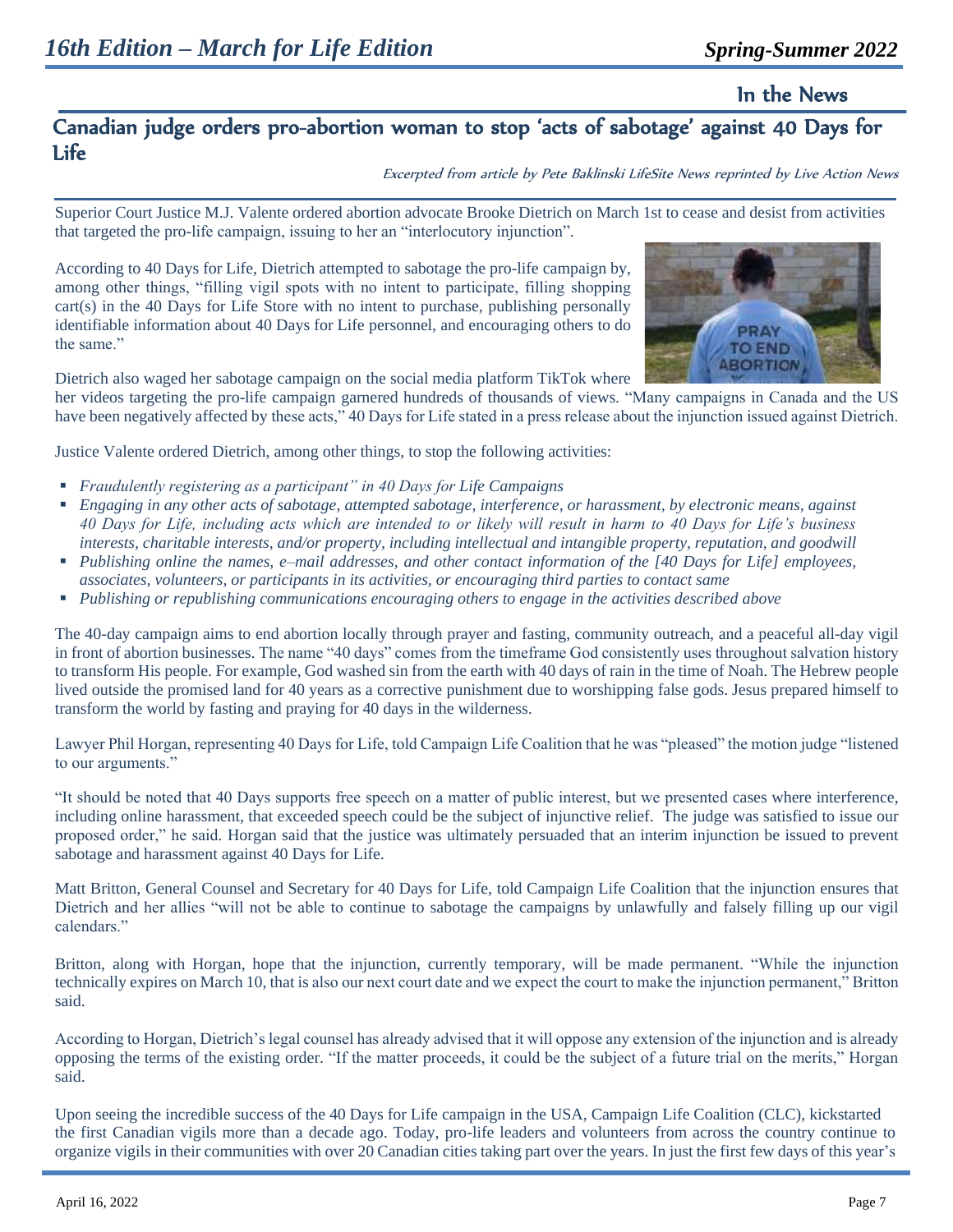In the News

### Canadian judge orders pro-abortion woman to stop 'acts of sabotage' against 40 Days for Life

Excerpted from article by Pete Baklinski LifeSite News reprinted by Live Action News

Superior Court Justice M.J. Valente ordered abortion advocate Brooke Dietrich on March 1st to cease and desist from activities that targeted the pro-life campaign, issuing to her an "interlocutory injunction".

According to 40 Days for Life, Dietrich attempted to sabotage the pro-life campaign by, among other things, "filling vigil spots with no intent to participate, filling shopping cart(s) in the 40 Days for Life Store with no intent to purchase, publishing personally identifiable information about 40 Days for Life personnel, and encouraging others to do the same."



Dietrich also waged her sabotage campaign on the social media platform TikTok where

her videos targeting the pro-life campaign garnered hundreds of thousands of views. "Many campaigns in Canada and the US have been negatively affected by these acts," 40 Days for Life stated in a press release about the injunction issued against Dietrich.

Justice Valente ordered Dietrich, among other things, to stop the following activities:

- *Fraudulently registering as a participant*" in 40 Days for Life Campaigns
- *Engaging in any other acts of sabotage, attempted sabotage, interference, or harassment, by electronic means, against 40 Days for Life, including acts which are intended to or likely will result in harm to 40 Days for Life's business interests, charitable interests, and/or property, including intellectual and intangible property, reputation, and goodwill*
- *Publishing online the names, e–mail addresses, and other contact information of the [40 Days for Life] employees, associates, volunteers, or participants in its activities, or encouraging third parties to contact same*
- *Publishing or republishing communications encouraging others to engage in the activities described above*

The 40-day campaign aims to end abortion locally through prayer and fasting, community outreach, and a peaceful all-day vigil in front of abortion businesses. The name "40 days" comes from the timeframe God consistently uses throughout salvation history to transform His people. For example, God washed sin from the earth with 40 days of rain in the time of Noah. The Hebrew people lived outside the promised land for 40 years as a corrective punishment due to worshipping false gods. Jesus prepared himself to transform the world by fasting and praying for 40 days in the wilderness.

Lawyer Phil Horgan, representing 40 Days for Life, told Campaign Life Coalition that he was "pleased" the motion judge "listened to our arguments."

"It should be noted that 40 Days supports free speech on a matter of public interest, but we presented cases where interference, including online harassment, that exceeded speech could be the subject of injunctive relief. The judge was satisfied to issue our proposed order," he said. Horgan said that the justice was ultimately persuaded that an interim injunction be issued to prevent sabotage and harassment against 40 Days for Life.

Matt Britton, General Counsel and Secretary for 40 Days for Life, told Campaign Life Coalition that the injunction ensures that Dietrich and her allies "will not be able to continue to sabotage the campaigns by unlawfully and falsely filling up our vigil calendars."

Britton, along with Horgan, hope that the injunction, currently temporary, will be made permanent. "While the injunction technically expires on March 10, that is also our next court date and we expect the court to make the injunction permanent," Britton said.

According to Horgan, Dietrich's legal counsel has already advised that it will oppose any extension of the injunction and is already opposing the terms of the existing order. "If the matter proceeds, it could be the subject of a future trial on the merits," Horgan said.

Upon seeing the incredible success of the 40 Days for Life campaign in the USA, Campaign Life Coalition (CLC), kickstarted the first Canadian vigils more than a decade ago. Today, pro-life leaders and volunteers from across the country continue to organize vigils in their communities with over 20 Canadian cities taking part over the years. In just the first few days of this year's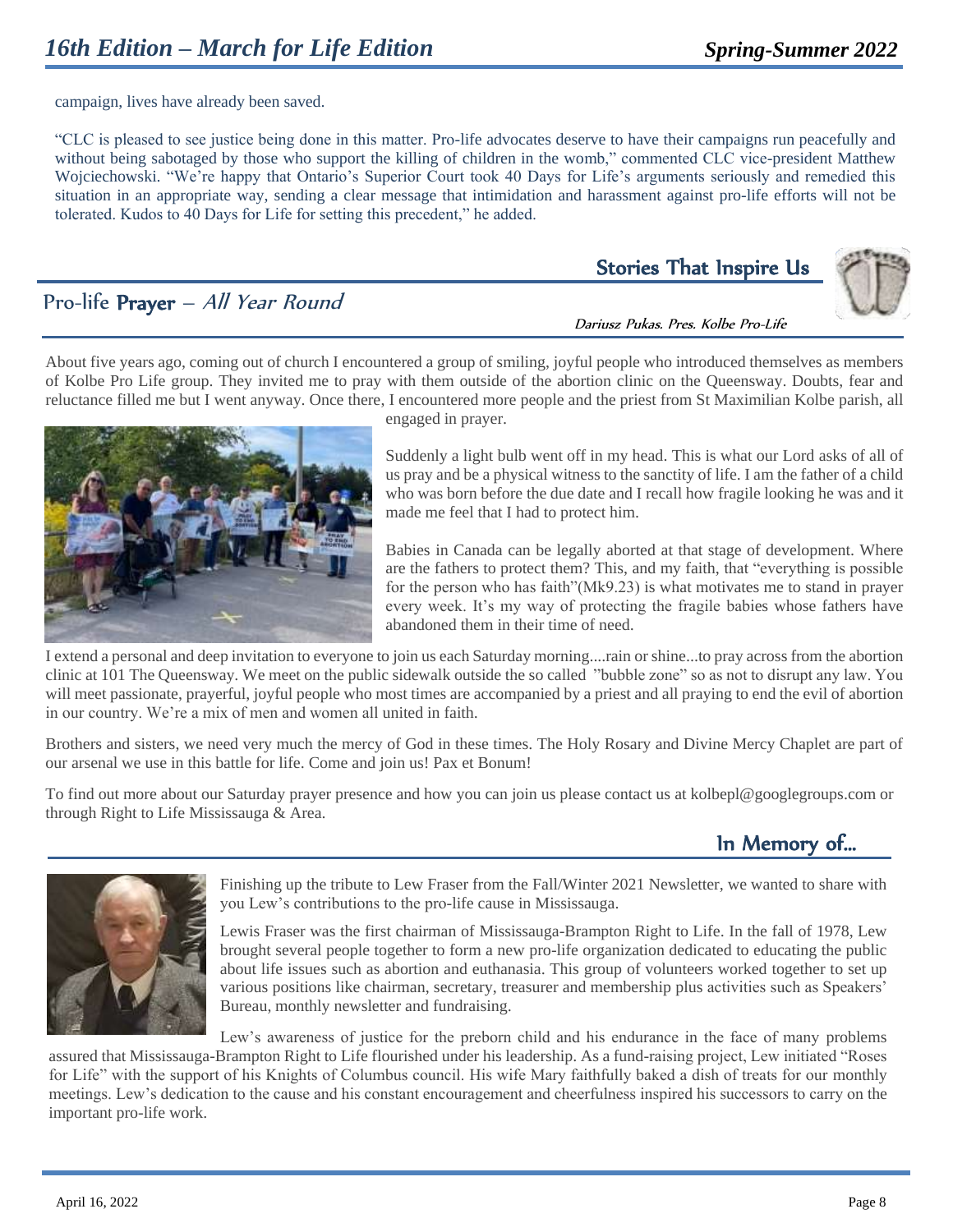campaign, lives have already been saved.

"CLC is pleased to see justice being done in this matter. Pro-life advocates deserve to have their campaigns run peacefully and without being sabotaged by those who support the killing of children in the womb," commented CLC vice-president Matthew Wojciechowski. "We're happy that Ontario's Superior Court took 40 Days for Life's arguments seriously and remedied this situation in an appropriate way, sending a clear message that intimidation and harassment against pro-life efforts will not be tolerated. Kudos to 40 Days for Life for setting this precedent," he added.

## Pro-life Prayer – All Year Round

# Stories That Inspire Us



Dariusz Pukas. Pres. Kolbe Pro-Life

About five years ago, coming out of church I encountered a group of smiling, joyful people who introduced themselves as members of Kolbe Pro Life group. They invited me to pray with them outside of the abortion clinic on the Queensway. Doubts, fear and reluctance filled me but I went anyway. Once there, I encountered more people and the priest from St Maximilian Kolbe parish, all



engaged in prayer.

Suddenly a light bulb went off in my head. This is what our Lord asks of all of us pray and be a physical witness to the sanctity of life. I am the father of a child who was born before the due date and I recall how fragile looking he was and it made me feel that I had to protect him.

Babies in Canada can be legally aborted at that stage of development. Where are the fathers to protect them? This, and my faith, that "everything is possible for the person who has faith"(Mk9.23) is what motivates me to stand in prayer every week. It's my way of protecting the fragile babies whose fathers have abandoned them in their time of need.

I extend a personal and deep invitation to everyone to join us each Saturday morning....rain or shine...to pray across from the abortion clinic at 101 The Queensway. We meet on the public sidewalk outside the so called "bubble zone" so as not to disrupt any law. You will meet passionate, prayerful, joyful people who most times are accompanied by a priest and all praying to end the evil of abortion in our country. We're a mix of men and women all united in faith.

Brothers and sisters, we need very much the mercy of God in these times. The Holy Rosary and Divine Mercy Chaplet are part of our arsenal we use in this battle for life. Come and join us! Pax et Bonum!

To find out more about our Saturday prayer presence and how you can join us please contact us a[t kolbepl@googlegroups.com](mailto:kolbepl@googlegroups.com) or through Right to Life Mississauga & Area.

# In Memory of…



Finishing up the tribute to Lew Fraser from the Fall/Winter 2021 Newsletter, we wanted to share with you Lew's contributions to the pro-life cause in Mississauga.

Lewis Fraser was the first chairman of Mississauga-Brampton Right to Life. In the fall of 1978, Lew brought several people together to form a new pro-life organization dedicated to educating the public about life issues such as abortion and euthanasia. This group of volunteers worked together to set up various positions like chairman, secretary, treasurer and membership plus activities such as Speakers' Bureau, monthly newsletter and fundraising.

Lew's awareness of justice for the preborn child and his endurance in the face of many problems assured that Mississauga-Brampton Right to Life flourished under his leadership. As a fund-raising project, Lew initiated "Roses

for Life" with the support of his Knights of Columbus council. His wife Mary faithfully baked a dish of treats for our monthly meetings. Lew's dedication to the cause and his constant encouragement and cheerfulness inspired his successors to carry on the important pro-life work.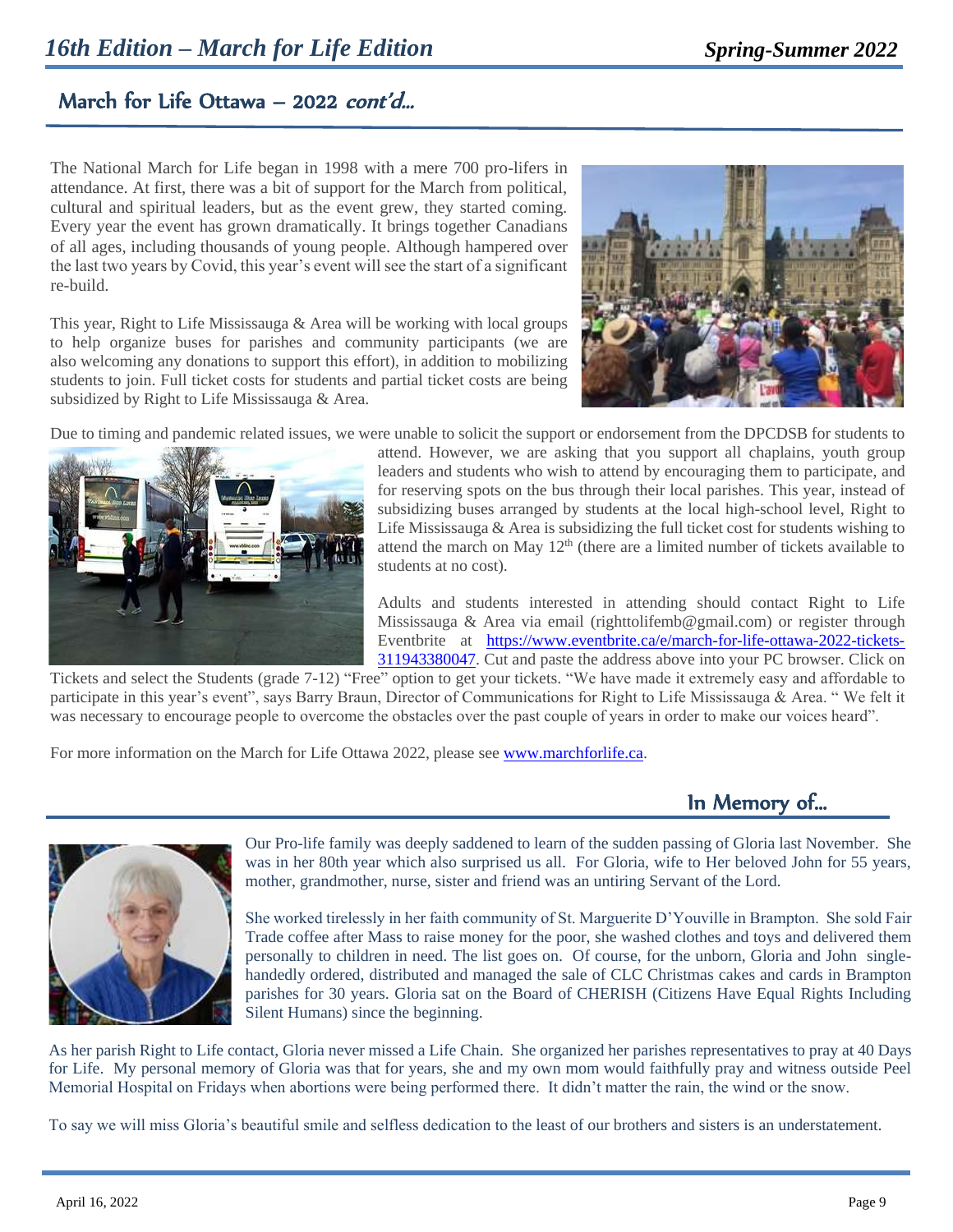## March for Life Ottawa – 2022 *cont'd...*

ľ

The National March for Life began in 1998 with a mere 700 pro-lifers in attendance. At first, there was a bit of support for the March from political, cultural and spiritual leaders, but as the event grew, they started coming. Every year the event has grown dramatically. It brings together Canadians of all ages, including thousands of young people. Although hampered over the last two years by Covid, this year's event will see the start of a significant re-build.

This year, Right to Life Mississauga & Area will be working with local groups to help organize buses for parishes and community participants (we are also welcoming any donations to support this effort), in addition to mobilizing students to join. Full ticket costs for students and partial ticket costs are being subsidized by Right to Life Mississauga & Area.



Due to timing and pandemic related issues, we were unable to solicit the support or endorsement from the DPCDSB for students to



attend. However, we are asking that you support all chaplains, youth group leaders and students who wish to attend by encouraging them to participate, and for reserving spots on the bus through their local parishes. This year, instead of subsidizing buses arranged by students at the local high-school level, Right to Life Mississauga & Area is subsidizing the full ticket cost for students wishing to attend the march on May  $12<sup>th</sup>$  (there are a limited number of tickets available to students at no cost).

Adults and students interested in attending should contact Right to Life Mississauga & Area via email (righttolifemb@gmail.com) or register through Eventbrite at [https://www.eventbrite.ca/e/march-for-life-ottawa-2022-tickets-](https://www.eventbrite.ca/e/march-for-life-ottawa-2022-tickets-311943380047)[311943380047.](https://www.eventbrite.ca/e/march-for-life-ottawa-2022-tickets-311943380047) Cut and paste the address above into your PC browser. Click on

Tickets and select the Students (grade 7-12) "Free" option to get your tickets. "We have made it extremely easy and affordable to participate in this year's event", says Barry Braun, Director of Communications for Right to Life Mississauga & Area. " We felt it was necessary to encourage people to overcome the obstacles over the past couple of years in order to make our voices heard".

For more information on the March for Life Ottawa 2022, please se[e www.marchforlife.ca.](http://www.marchforlife.ca/)

In Memory of…



Our Pro-life family was deeply saddened to learn of the sudden passing of Gloria last November. She was in her 80th year which also surprised us all. For Gloria, wife to Her beloved John for 55 years, mother, grandmother, nurse, sister and friend was an untiring Servant of the Lord.

She worked tirelessly in her faith community of St. Marguerite D'Youville in Brampton. She sold Fair Trade coffee after Mass to raise money for the poor, she washed clothes and toys and delivered them personally to children in need. The list goes on. Of course, for the unborn, Gloria and John singlehandedly ordered, distributed and managed the sale of CLC Christmas cakes and cards in Brampton parishes for 30 years. Gloria sat on the Board of CHERISH (Citizens Have Equal Rights Including Silent Humans) since the beginning.

As her parish Right to Life contact, Gloria never missed a Life Chain. She organized her parishes representatives to pray at 40 Days for Life. My personal memory of Gloria was that for years, she and my own mom would faithfully pray and witness outside Peel Memorial Hospital on Fridays when abortions were being performed there. It didn't matter the rain, the wind or the snow.

To say we will miss Gloria's beautiful smile and selfless dedication to the least of our brothers and sisters is an understatement.